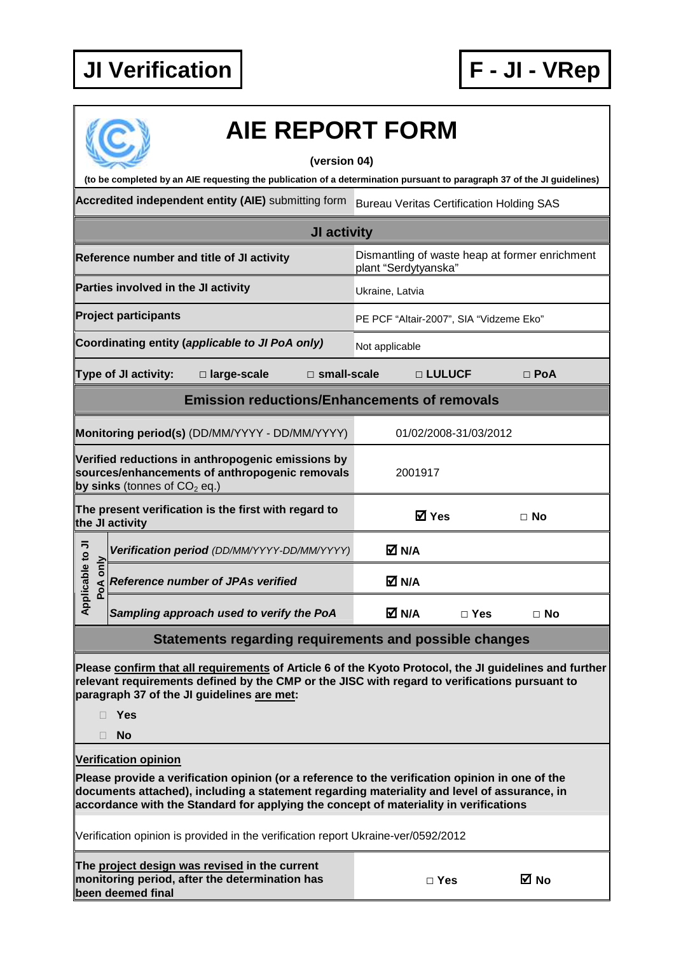

|             |                                     | <b>AIE REPORT FORM</b>                                                                                                  |                    |                      |                                         |                                                 |  |
|-------------|-------------------------------------|-------------------------------------------------------------------------------------------------------------------------|--------------------|----------------------|-----------------------------------------|-------------------------------------------------|--|
|             |                                     | (to be completed by an AIE requesting the publication of a determination pursuant to paragraph 37 of the JI guidelines) | (version 04)       |                      |                                         |                                                 |  |
|             |                                     | Accredited independent entity (AIE) submitting form                                                                     |                    |                      |                                         | <b>Bureau Veritas Certification Holding SAS</b> |  |
|             |                                     |                                                                                                                         | <b>JI activity</b> |                      |                                         |                                                 |  |
|             |                                     | Reference number and title of JI activity                                                                               |                    | plant "Serdytyanska" |                                         | Dismantling of waste heap at former enrichment  |  |
|             | Parties involved in the JI activity |                                                                                                                         |                    | Ukraine, Latvia      |                                         |                                                 |  |
|             | <b>Project participants</b>         |                                                                                                                         |                    |                      | PE PCF "Altair-2007", SIA "Vidzeme Eko" |                                                 |  |
|             |                                     | Coordinating entity (applicable to JI PoA only)                                                                         |                    | Not applicable       |                                         |                                                 |  |
|             | Type of JI activity:                | $\Box$ large-scale                                                                                                      | □ small-scale      |                      | □ LULUCF                                | $\Box$ PoA                                      |  |
|             |                                     | <b>Emission reductions/Enhancements of removals</b>                                                                     |                    |                      |                                         |                                                 |  |
|             |                                     | Monitoring period(s) (DD/MM/YYYY - DD/MM/YYYY)                                                                          |                    |                      | 01/02/2008-31/03/2012                   |                                                 |  |
|             | by sinks (tonnes of $CO2$ eq.)      | Verified reductions in anthropogenic emissions by<br>sources/enhancements of anthropogenic removals                     |                    |                      | 2001917                                 |                                                 |  |
|             | the JI activity                     | The present verification is the first with regard to                                                                    |                    |                      | <b>Ø</b> Yes                            | $\Box$ No                                       |  |
| 弖<br>$\sim$ |                                     | Verification period (DD/MM/YYYY-DD/MM/YYYY)                                                                             |                    | M N/A                |                                         |                                                 |  |

| $\overline{5}$      | Verification period (DD/MM/YYYY-DD/MM/YYYY) | M N/A |            |      |  |
|---------------------|---------------------------------------------|-------|------------|------|--|
| ₾<br>ᇰ<br><u>შე</u> | <b>Reference number of JPAs verified</b>    | M N/A |            |      |  |
| Appl                | Sampling approach used to verify the PoA    | M N/A | $\Box$ Yes | ⊟ No |  |

## **Statements regarding requirements and possible changes**

**Please confirm that all requirements of Article 6 of the Kyoto Protocol, the JI guidelines and further relevant requirements defined by the CMP or the JISC with regard to verifications pursuant to paragraph 37 of the JI guidelines are met:** 

**Yes** 

**No** 

## **Verification opinion**

**Please provide a verification opinion (or a reference to the verification opinion in one of the documents attached), including a statement regarding materiality and level of assurance, in accordance with the Standard for applying the concept of materiality in verifications** 

Verification opinion is provided in the verification report Ukraine-ver/0592/2012

| The project design was revised in the current  |  |
|------------------------------------------------|--|
| monitoring period, after the determination has |  |
| been deemed final                              |  |

| w<br>۰.<br>v |  |
|--------------|--|
|--------------|--|